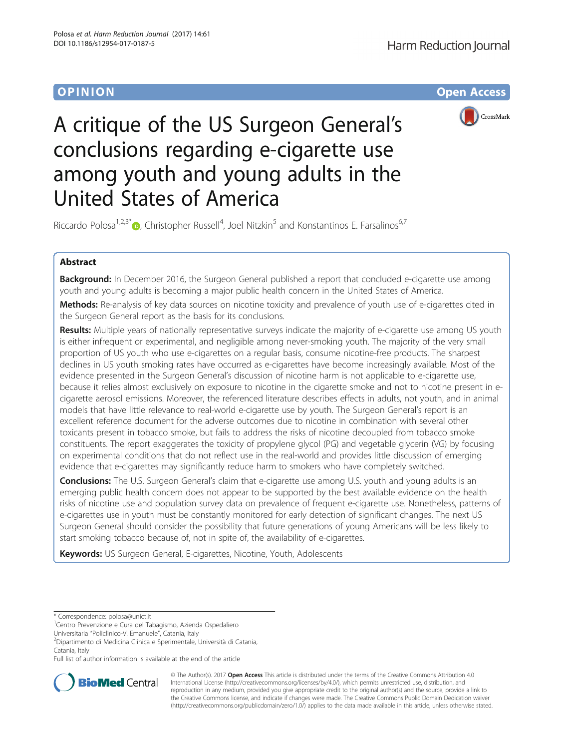**OPINION** CONTROL CONTROL CONTROL CONTROL CONTROL CONTROL CONTROL CONTROL CONTROL CONTROL CONTROL CONTROL CONTROL



# A critique of the US Surgeon General's conclusions regarding e-cigarette use among youth and young adults in the United States of America

Riccardo Polosa<sup>1,2,3[\\*](http://orcid.org/0000-0002-8450-5721)</sup> (D, Christopher Russell<sup>4</sup>, Joel Nitzkin<sup>5</sup> and Konstantinos E. Farsalinos<sup>6,7</sup>

# Abstract

Background: In December 2016, the Surgeon General published a report that concluded e-cigarette use among youth and young adults is becoming a major public health concern in the United States of America.

Methods: Re-analysis of key data sources on nicotine toxicity and prevalence of youth use of e-cigarettes cited in the Surgeon General report as the basis for its conclusions.

Results: Multiple years of nationally representative surveys indicate the majority of e-cigarette use among US youth is either infrequent or experimental, and negligible among never-smoking youth. The majority of the very small proportion of US youth who use e-cigarettes on a regular basis, consume nicotine-free products. The sharpest declines in US youth smoking rates have occurred as e-cigarettes have become increasingly available. Most of the evidence presented in the Surgeon General's discussion of nicotine harm is not applicable to e-cigarette use, because it relies almost exclusively on exposure to nicotine in the cigarette smoke and not to nicotine present in ecigarette aerosol emissions. Moreover, the referenced literature describes effects in adults, not youth, and in animal models that have little relevance to real-world e-cigarette use by youth. The Surgeon General's report is an excellent reference document for the adverse outcomes due to nicotine in combination with several other toxicants present in tobacco smoke, but fails to address the risks of nicotine decoupled from tobacco smoke constituents. The report exaggerates the toxicity of propylene glycol (PG) and vegetable glycerin (VG) by focusing on experimental conditions that do not reflect use in the real-world and provides little discussion of emerging evidence that e-cigarettes may significantly reduce harm to smokers who have completely switched.

**Conclusions:** The U.S. Surgeon General's claim that e-cigarette use among U.S. youth and young adults is an emerging public health concern does not appear to be supported by the best available evidence on the health risks of nicotine use and population survey data on prevalence of frequent e-cigarette use. Nonetheless, patterns of e-cigarettes use in youth must be constantly monitored for early detection of significant changes. The next US Surgeon General should consider the possibility that future generations of young Americans will be less likely to start smoking tobacco because of, not in spite of, the availability of e-cigarettes.

**Keywords:** US Surgeon General, E-cigarettes, Nicotine, Youth, Adolescents

Universitaria "Policlinico-V. Emanuele", Catania, Italy <sup>2</sup>

<sup>2</sup>Dipartimento di Medicina Clinica e Sperimentale, Università di Catania, Catania, Italy

Full list of author information is available at the end of the article



© The Author(s). 2017 **Open Access** This article is distributed under the terms of the Creative Commons Attribution 4.0 International License [\(http://creativecommons.org/licenses/by/4.0/](http://creativecommons.org/licenses/by/4.0/)), which permits unrestricted use, distribution, and reproduction in any medium, provided you give appropriate credit to the original author(s) and the source, provide a link to the Creative Commons license, and indicate if changes were made. The Creative Commons Public Domain Dedication waiver [\(http://creativecommons.org/publicdomain/zero/1.0/](http://creativecommons.org/publicdomain/zero/1.0/)) applies to the data made available in this article, unless otherwise stated.

<sup>\*</sup> Correspondence: [polosa@unict.it](mailto:polosa@unict.it) <sup>1</sup>

Centro Prevenzione e Cura del Tabagismo, Azienda Ospedaliero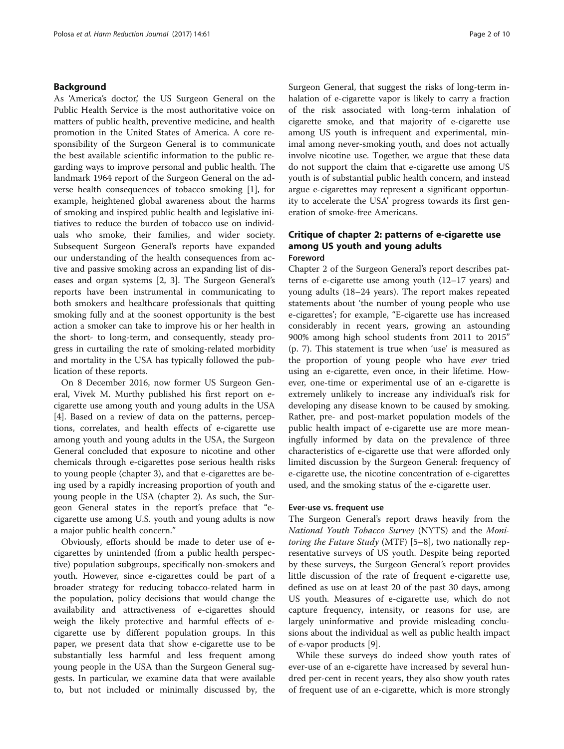# Background

As 'America's doctor,' the US Surgeon General on the Public Health Service is the most authoritative voice on matters of public health, preventive medicine, and health promotion in the United States of America. A core responsibility of the Surgeon General is to communicate the best available scientific information to the public regarding ways to improve personal and public health. The landmark 1964 report of the Surgeon General on the adverse health consequences of tobacco smoking [\[1\]](#page-7-0), for example, heightened global awareness about the harms of smoking and inspired public health and legislative initiatives to reduce the burden of tobacco use on individuals who smoke, their families, and wider society. Subsequent Surgeon General's reports have expanded our understanding of the health consequences from active and passive smoking across an expanding list of diseases and organ systems [\[2](#page-7-0), [3\]](#page-7-0). The Surgeon General's reports have been instrumental in communicating to both smokers and healthcare professionals that quitting smoking fully and at the soonest opportunity is the best action a smoker can take to improve his or her health in the short- to long-term, and consequently, steady progress in curtailing the rate of smoking-related morbidity and mortality in the USA has typically followed the publication of these reports.

On 8 December 2016, now former US Surgeon General, Vivek M. Murthy published his first report on ecigarette use among youth and young adults in the USA [[4\]](#page-7-0). Based on a review of data on the patterns, perceptions, correlates, and health effects of e-cigarette use among youth and young adults in the USA, the Surgeon General concluded that exposure to nicotine and other chemicals through e-cigarettes pose serious health risks to young people (chapter 3), and that e-cigarettes are being used by a rapidly increasing proportion of youth and young people in the USA (chapter 2). As such, the Surgeon General states in the report's preface that "ecigarette use among U.S. youth and young adults is now a major public health concern."

Obviously, efforts should be made to deter use of ecigarettes by unintended (from a public health perspective) population subgroups, specifically non-smokers and youth. However, since e-cigarettes could be part of a broader strategy for reducing tobacco-related harm in the population, policy decisions that would change the availability and attractiveness of e-cigarettes should weigh the likely protective and harmful effects of ecigarette use by different population groups. In this paper, we present data that show e-cigarette use to be substantially less harmful and less frequent among young people in the USA than the Surgeon General suggests. In particular, we examine data that were available to, but not included or minimally discussed by, the Surgeon General, that suggest the risks of long-term inhalation of e-cigarette vapor is likely to carry a fraction of the risk associated with long-term inhalation of cigarette smoke, and that majority of e-cigarette use among US youth is infrequent and experimental, minimal among never-smoking youth, and does not actually involve nicotine use. Together, we argue that these data do not support the claim that e-cigarette use among US youth is of substantial public health concern, and instead argue e-cigarettes may represent a significant opportunity to accelerate the USA' progress towards its first generation of smoke-free Americans.

# Critique of chapter 2: patterns of e-cigarette use among US youth and young adults Foreword

Chapter 2 of the Surgeon General's report describes patterns of e-cigarette use among youth (12–17 years) and young adults (18–24 years). The report makes repeated statements about 'the number of young people who use e-cigarettes'; for example, "E-cigarette use has increased considerably in recent years, growing an astounding 900% among high school students from 2011 to 2015" (p. 7). This statement is true when 'use' is measured as the proportion of young people who have ever tried using an e-cigarette, even once, in their lifetime. However, one-time or experimental use of an e-cigarette is extremely unlikely to increase any individual's risk for developing any disease known to be caused by smoking. Rather, pre- and post-market population models of the public health impact of e-cigarette use are more meaningfully informed by data on the prevalence of three characteristics of e-cigarette use that were afforded only limited discussion by the Surgeon General: frequency of e-cigarette use, the nicotine concentration of e-cigarettes used, and the smoking status of the e-cigarette user.

## Ever-use vs. frequent use

The Surgeon General's report draws heavily from the National Youth Tobacco Survey (NYTS) and the Monitoring the Future Study (MTF) [[5](#page-7-0)–[8](#page-7-0)], two nationally representative surveys of US youth. Despite being reported by these surveys, the Surgeon General's report provides little discussion of the rate of frequent e-cigarette use, defined as use on at least 20 of the past 30 days, among US youth. Measures of e-cigarette use, which do not capture frequency, intensity, or reasons for use, are largely uninformative and provide misleading conclusions about the individual as well as public health impact of e-vapor products [[9](#page-7-0)].

While these surveys do indeed show youth rates of ever-use of an e-cigarette have increased by several hundred per-cent in recent years, they also show youth rates of frequent use of an e-cigarette, which is more strongly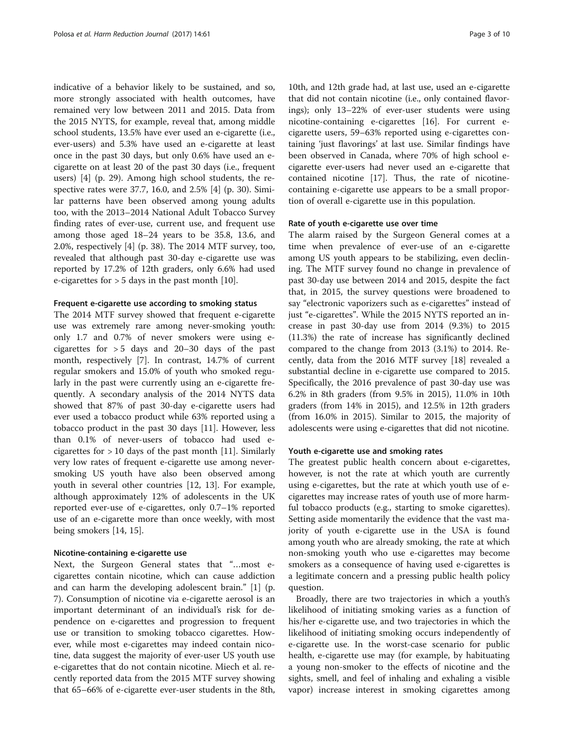indicative of a behavior likely to be sustained, and so, more strongly associated with health outcomes, have remained very low between 2011 and 2015. Data from the 2015 NYTS, for example, reveal that, among middle school students, 13.5% have ever used an e-cigarette (i.e., ever-users) and 5.3% have used an e-cigarette at least once in the past 30 days, but only 0.6% have used an ecigarette on at least 20 of the past 30 days (i.e., frequent users) [\[4\]](#page-7-0) (p. 29). Among high school students, the respective rates were 37.7, 16.0, and 2.5% [\[4](#page-7-0)] (p. 30). Similar patterns have been observed among young adults too, with the 2013–2014 National Adult Tobacco Survey finding rates of ever-use, current use, and frequent use among those aged 18–24 years to be 35.8, 13.6, and 2.0%, respectively [[4](#page-7-0)] (p. 38). The 2014 MTF survey, too, revealed that although past 30-day e-cigarette use was reported by 17.2% of 12th graders, only 6.6% had used e-cigarettes for > 5 days in the past month [\[10](#page-7-0)].

#### Frequent e-cigarette use according to smoking status

The 2014 MTF survey showed that frequent e-cigarette use was extremely rare among never-smoking youth: only 1.7 and 0.7% of never smokers were using ecigarettes for  $> 5$  days and 20–30 days of the past month, respectively [[7](#page-7-0)]. In contrast, 14.7% of current regular smokers and 15.0% of youth who smoked regularly in the past were currently using an e-cigarette frequently. A secondary analysis of the 2014 NYTS data showed that 87% of past 30-day e-cigarette users had ever used a tobacco product while 63% reported using a tobacco product in the past 30 days [\[11](#page-7-0)]. However, less than 0.1% of never-users of tobacco had used ecigarettes for  $> 10$  days of the past month [\[11](#page-7-0)]. Similarly very low rates of frequent e-cigarette use among neversmoking US youth have also been observed among youth in several other countries [\[12](#page-7-0), [13](#page-7-0)]. For example, although approximately 12% of adolescents in the UK reported ever-use of e-cigarettes, only 0.7–1% reported use of an e-cigarette more than once weekly, with most being smokers [[14, 15](#page-7-0)].

# Nicotine-containing e-cigarette use

Next, the Surgeon General states that "…most ecigarettes contain nicotine, which can cause addiction and can harm the developing adolescent brain." [[1\]](#page-7-0) (p. 7). Consumption of nicotine via e-cigarette aerosol is an important determinant of an individual's risk for dependence on e-cigarettes and progression to frequent use or transition to smoking tobacco cigarettes. However, while most e-cigarettes may indeed contain nicotine, data suggest the majority of ever-user US youth use e-cigarettes that do not contain nicotine. Miech et al. recently reported data from the 2015 MTF survey showing that 65–66% of e-cigarette ever-user students in the 8th,

10th, and 12th grade had, at last use, used an e-cigarette that did not contain nicotine (i.e., only contained flavorings); only 13–22% of ever-user students were using nicotine-containing e-cigarettes [\[16\]](#page-7-0). For current ecigarette users, 59–63% reported using e-cigarettes containing 'just flavorings' at last use. Similar findings have been observed in Canada, where 70% of high school ecigarette ever-users had never used an e-cigarette that contained nicotine [\[17\]](#page-7-0). Thus, the rate of nicotinecontaining e-cigarette use appears to be a small proportion of overall e-cigarette use in this population.

#### Rate of youth e-cigarette use over time

The alarm raised by the Surgeon General comes at a time when prevalence of ever-use of an e-cigarette among US youth appears to be stabilizing, even declining. The MTF survey found no change in prevalence of past 30-day use between 2014 and 2015, despite the fact that, in 2015, the survey questions were broadened to say "electronic vaporizers such as e-cigarettes" instead of just "e-cigarettes". While the 2015 NYTS reported an increase in past 30-day use from 2014 (9.3%) to 2015 (11.3%) the rate of increase has significantly declined compared to the change from 2013 (3.1%) to 2014. Recently, data from the 2016 MTF survey [\[18](#page-7-0)] revealed a substantial decline in e-cigarette use compared to 2015. Specifically, the 2016 prevalence of past 30-day use was 6.2% in 8th graders (from 9.5% in 2015), 11.0% in 10th graders (from 14% in 2015), and 12.5% in 12th graders (from 16.0% in 2015). Similar to 2015, the majority of adolescents were using e-cigarettes that did not nicotine.

#### Youth e-cigarette use and smoking rates

The greatest public health concern about e-cigarettes, however, is not the rate at which youth are currently using e-cigarettes, but the rate at which youth use of ecigarettes may increase rates of youth use of more harmful tobacco products (e.g., starting to smoke cigarettes). Setting aside momentarily the evidence that the vast majority of youth e-cigarette use in the USA is found among youth who are already smoking, the rate at which non-smoking youth who use e-cigarettes may become smokers as a consequence of having used e-cigarettes is a legitimate concern and a pressing public health policy question.

Broadly, there are two trajectories in which a youth's likelihood of initiating smoking varies as a function of his/her e-cigarette use, and two trajectories in which the likelihood of initiating smoking occurs independently of e-cigarette use. In the worst-case scenario for public health, e-cigarette use may (for example, by habituating a young non-smoker to the effects of nicotine and the sights, smell, and feel of inhaling and exhaling a visible vapor) increase interest in smoking cigarettes among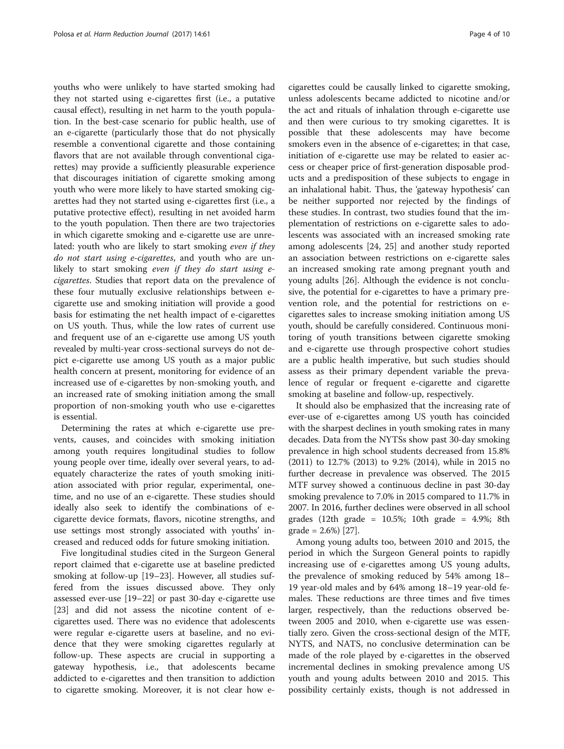youths who were unlikely to have started smoking had they not started using e-cigarettes first (i.e., a putative causal effect), resulting in net harm to the youth population. In the best-case scenario for public health, use of an e-cigarette (particularly those that do not physically resemble a conventional cigarette and those containing flavors that are not available through conventional cigarettes) may provide a sufficiently pleasurable experience that discourages initiation of cigarette smoking among youth who were more likely to have started smoking cigarettes had they not started using e-cigarettes first (i.e., a putative protective effect), resulting in net avoided harm to the youth population. Then there are two trajectories in which cigarette smoking and e-cigarette use are unrelated: youth who are likely to start smoking even if they do not start using e-cigarettes, and youth who are unlikely to start smoking even if they do start using ecigarettes. Studies that report data on the prevalence of these four mutually exclusive relationships between ecigarette use and smoking initiation will provide a good basis for estimating the net health impact of e-cigarettes on US youth. Thus, while the low rates of current use and frequent use of an e-cigarette use among US youth revealed by multi-year cross-sectional surveys do not depict e-cigarette use among US youth as a major public health concern at present, monitoring for evidence of an increased use of e-cigarettes by non-smoking youth, and an increased rate of smoking initiation among the small proportion of non-smoking youth who use e-cigarettes is essential.

Determining the rates at which e-cigarette use prevents, causes, and coincides with smoking initiation among youth requires longitudinal studies to follow young people over time, ideally over several years, to adequately characterize the rates of youth smoking initiation associated with prior regular, experimental, onetime, and no use of an e-cigarette. These studies should ideally also seek to identify the combinations of ecigarette device formats, flavors, nicotine strengths, and use settings most strongly associated with youths' increased and reduced odds for future smoking initiation.

Five longitudinal studies cited in the Surgeon General report claimed that e-cigarette use at baseline predicted smoking at follow-up [[19](#page-7-0)–[23](#page-7-0)]. However, all studies suffered from the issues discussed above. They only assessed ever-use [[19](#page-7-0)–[22](#page-7-0)] or past 30-day e-cigarette use [[23\]](#page-7-0) and did not assess the nicotine content of ecigarettes used. There was no evidence that adolescents were regular e-cigarette users at baseline, and no evidence that they were smoking cigarettes regularly at follow-up. These aspects are crucial in supporting a gateway hypothesis, i.e., that adolescents became addicted to e-cigarettes and then transition to addiction to cigarette smoking. Moreover, it is not clear how e-

cigarettes could be causally linked to cigarette smoking, unless adolescents became addicted to nicotine and/or the act and rituals of inhalation through e-cigarette use and then were curious to try smoking cigarettes. It is possible that these adolescents may have become smokers even in the absence of e-cigarettes; in that case, initiation of e-cigarette use may be related to easier access or cheaper price of first-generation disposable products and a predisposition of these subjects to engage in an inhalational habit. Thus, the 'gateway hypothesis' can be neither supported nor rejected by the findings of these studies. In contrast, two studies found that the implementation of restrictions on e-cigarette sales to adolescents was associated with an increased smoking rate among adolescents [\[24](#page-7-0), [25](#page-7-0)] and another study reported an association between restrictions on e-cigarette sales an increased smoking rate among pregnant youth and young adults [[26](#page-7-0)]. Although the evidence is not conclusive, the potential for e-cigarettes to have a primary prevention role, and the potential for restrictions on ecigarettes sales to increase smoking initiation among US youth, should be carefully considered. Continuous monitoring of youth transitions between cigarette smoking and e-cigarette use through prospective cohort studies are a public health imperative, but such studies should assess as their primary dependent variable the prevalence of regular or frequent e-cigarette and cigarette smoking at baseline and follow-up, respectively.

It should also be emphasized that the increasing rate of ever-use of e-cigarettes among US youth has coincided with the sharpest declines in youth smoking rates in many decades. Data from the NYTSs show past 30-day smoking prevalence in high school students decreased from 15.8% (2011) to 12.7% (2013) to 9.2% (2014), while in 2015 no further decrease in prevalence was observed. The 2015 MTF survey showed a continuous decline in past 30-day smoking prevalence to 7.0% in 2015 compared to 11.7% in 2007. In 2016, further declines were observed in all school grades (12th grade =  $10.5\%$ ; 10th grade =  $4.9\%$ ; 8th grade =  $2.6\%$ ) [[27\]](#page-7-0).

Among young adults too, between 2010 and 2015, the period in which the Surgeon General points to rapidly increasing use of e-cigarettes among US young adults, the prevalence of smoking reduced by 54% among 18– 19 year-old males and by 64% among 18–19 year-old females. These reductions are three times and five times larger, respectively, than the reductions observed between 2005 and 2010, when e-cigarette use was essentially zero. Given the cross-sectional design of the MTF, NYTS, and NATS, no conclusive determination can be made of the role played by e-cigarettes in the observed incremental declines in smoking prevalence among US youth and young adults between 2010 and 2015. This possibility certainly exists, though is not addressed in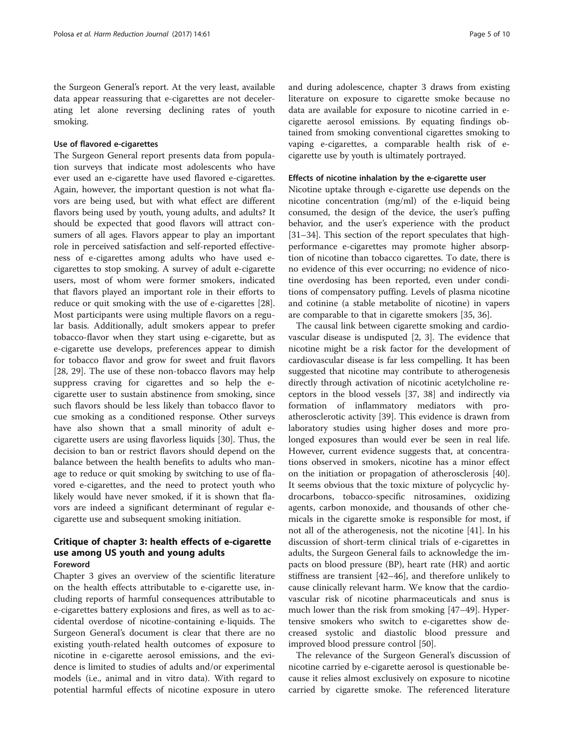the Surgeon General's report. At the very least, available data appear reassuring that e-cigarettes are not decelerating let alone reversing declining rates of youth smoking.

## Use of flavored e-cigarettes

The Surgeon General report presents data from population surveys that indicate most adolescents who have ever used an e-cigarette have used flavored e-cigarettes. Again, however, the important question is not what flavors are being used, but with what effect are different flavors being used by youth, young adults, and adults? It should be expected that good flavors will attract consumers of all ages. Flavors appear to play an important role in perceived satisfaction and self-reported effectiveness of e-cigarettes among adults who have used ecigarettes to stop smoking. A survey of adult e-cigarette users, most of whom were former smokers, indicated that flavors played an important role in their efforts to reduce or quit smoking with the use of e-cigarettes [\[28](#page-7-0)]. Most participants were using multiple flavors on a regular basis. Additionally, adult smokers appear to prefer tobacco-flavor when they start using e-cigarette, but as e-cigarette use develops, preferences appear to dimish for tobacco flavor and grow for sweet and fruit flavors [[28, 29](#page-7-0)]. The use of these non-tobacco flavors may help suppress craving for cigarettes and so help the ecigarette user to sustain abstinence from smoking, since such flavors should be less likely than tobacco flavor to cue smoking as a conditioned response. Other surveys have also shown that a small minority of adult ecigarette users are using flavorless liquids [\[30\]](#page-7-0). Thus, the decision to ban or restrict flavors should depend on the balance between the health benefits to adults who manage to reduce or quit smoking by switching to use of flavored e-cigarettes, and the need to protect youth who likely would have never smoked, if it is shown that flavors are indeed a significant determinant of regular ecigarette use and subsequent smoking initiation.

# Critique of chapter 3: health effects of e-cigarette use among US youth and young adults Foreword

Chapter 3 gives an overview of the scientific literature on the health effects attributable to e-cigarette use, including reports of harmful consequences attributable to e-cigarettes battery explosions and fires, as well as to accidental overdose of nicotine-containing e-liquids. The Surgeon General's document is clear that there are no existing youth-related health outcomes of exposure to nicotine in e-cigarette aerosol emissions, and the evidence is limited to studies of adults and/or experimental models (i.e., animal and in vitro data). With regard to potential harmful effects of nicotine exposure in utero and during adolescence, chapter 3 draws from existing literature on exposure to cigarette smoke because no data are available for exposure to nicotine carried in ecigarette aerosol emissions. By equating findings obtained from smoking conventional cigarettes smoking to vaping e-cigarettes, a comparable health risk of ecigarette use by youth is ultimately portrayed.

#### Effects of nicotine inhalation by the e-cigarette user

Nicotine uptake through e-cigarette use depends on the nicotine concentration (mg/ml) of the e-liquid being consumed, the design of the device, the user's puffing behavior, and the user's experience with the product [[31](#page-7-0)–[34](#page-8-0)]. This section of the report speculates that highperformance e-cigarettes may promote higher absorption of nicotine than tobacco cigarettes. To date, there is no evidence of this ever occurring; no evidence of nicotine overdosing has been reported, even under conditions of compensatory puffing. Levels of plasma nicotine and cotinine (a stable metabolite of nicotine) in vapers are comparable to that in cigarette smokers [[35](#page-8-0), [36](#page-8-0)].

The causal link between cigarette smoking and cardiovascular disease is undisputed [[2, 3\]](#page-7-0). The evidence that nicotine might be a risk factor for the development of cardiovascular disease is far less compelling. It has been suggested that nicotine may contribute to atherogenesis directly through activation of nicotinic acetylcholine receptors in the blood vessels [[37, 38](#page-8-0)] and indirectly via formation of inflammatory mediators with proatherosclerotic activity [\[39\]](#page-8-0). This evidence is drawn from laboratory studies using higher doses and more prolonged exposures than would ever be seen in real life. However, current evidence suggests that, at concentrations observed in smokers, nicotine has a minor effect on the initiation or propagation of atherosclerosis [\[40](#page-8-0)]. It seems obvious that the toxic mixture of polycyclic hydrocarbons, tobacco-specific nitrosamines, oxidizing agents, carbon monoxide, and thousands of other chemicals in the cigarette smoke is responsible for most, if not all of the atherogenesis, not the nicotine [\[41](#page-8-0)]. In his discussion of short-term clinical trials of e-cigarettes in adults, the Surgeon General fails to acknowledge the impacts on blood pressure (BP), heart rate (HR) and aortic stiffness are transient [\[42](#page-8-0)–[46\]](#page-8-0), and therefore unlikely to cause clinically relevant harm. We know that the cardiovascular risk of nicotine pharmaceuticals and snus is much lower than the risk from smoking [[47](#page-8-0)–[49\]](#page-8-0). Hypertensive smokers who switch to e-cigarettes show decreased systolic and diastolic blood pressure and improved blood pressure control [\[50](#page-8-0)].

The relevance of the Surgeon General's discussion of nicotine carried by e-cigarette aerosol is questionable because it relies almost exclusively on exposure to nicotine carried by cigarette smoke. The referenced literature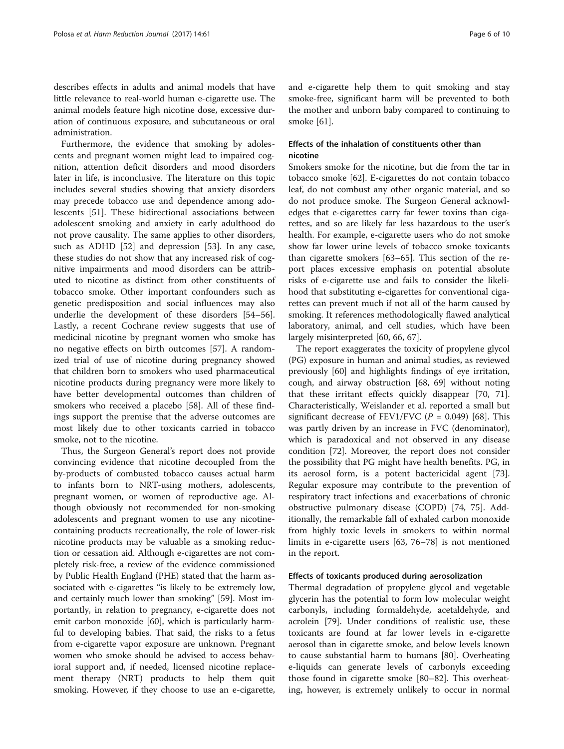describes effects in adults and animal models that have little relevance to real-world human e-cigarette use. The animal models feature high nicotine dose, excessive duration of continuous exposure, and subcutaneous or oral administration.

Furthermore, the evidence that smoking by adolescents and pregnant women might lead to impaired cognition, attention deficit disorders and mood disorders later in life, is inconclusive. The literature on this topic includes several studies showing that anxiety disorders may precede tobacco use and dependence among adolescents [[51\]](#page-8-0). These bidirectional associations between adolescent smoking and anxiety in early adulthood do not prove causality. The same applies to other disorders, such as ADHD [\[52\]](#page-8-0) and depression [\[53\]](#page-8-0). In any case, these studies do not show that any increased risk of cognitive impairments and mood disorders can be attributed to nicotine as distinct from other constituents of tobacco smoke. Other important confounders such as genetic predisposition and social influences may also underlie the development of these disorders [[54](#page-8-0)–[56](#page-8-0)]. Lastly, a recent Cochrane review suggests that use of medicinal nicotine by pregnant women who smoke has no negative effects on birth outcomes [[57](#page-8-0)]. A randomized trial of use of nicotine during pregnancy showed that children born to smokers who used pharmaceutical nicotine products during pregnancy were more likely to have better developmental outcomes than children of smokers who received a placebo [\[58](#page-8-0)]. All of these findings support the premise that the adverse outcomes are most likely due to other toxicants carried in tobacco smoke, not to the nicotine.

Thus, the Surgeon General's report does not provide convincing evidence that nicotine decoupled from the by-products of combusted tobacco causes actual harm to infants born to NRT-using mothers, adolescents, pregnant women, or women of reproductive age. Although obviously not recommended for non-smoking adolescents and pregnant women to use any nicotinecontaining products recreationally, the role of lower-risk nicotine products may be valuable as a smoking reduction or cessation aid. Although e-cigarettes are not completely risk-free, a review of the evidence commissioned by Public Health England (PHE) stated that the harm associated with e-cigarettes "is likely to be extremely low, and certainly much lower than smoking" [[59\]](#page-8-0). Most importantly, in relation to pregnancy, e-cigarette does not emit carbon monoxide [\[60](#page-8-0)], which is particularly harmful to developing babies. That said, the risks to a fetus from e-cigarette vapor exposure are unknown. Pregnant women who smoke should be advised to access behavioral support and, if needed, licensed nicotine replacement therapy (NRT) products to help them quit smoking. However, if they choose to use an e-cigarette, and e-cigarette help them to quit smoking and stay smoke-free, significant harm will be prevented to both the mother and unborn baby compared to continuing to smoke [\[61](#page-8-0)].

# Effects of the inhalation of constituents other than nicotine

Smokers smoke for the nicotine, but die from the tar in tobacco smoke [[62\]](#page-8-0). E-cigarettes do not contain tobacco leaf, do not combust any other organic material, and so do not produce smoke. The Surgeon General acknowledges that e-cigarettes carry far fewer toxins than cigarettes, and so are likely far less hazardous to the user's health. For example, e-cigarette users who do not smoke show far lower urine levels of tobacco smoke toxicants than cigarette smokers [\[63](#page-8-0)–[65\]](#page-8-0). This section of the report places excessive emphasis on potential absolute risks of e-cigarette use and fails to consider the likelihood that substituting e-cigarettes for conventional cigarettes can prevent much if not all of the harm caused by smoking. It references methodologically flawed analytical laboratory, animal, and cell studies, which have been largely misinterpreted [\[60](#page-8-0), [66](#page-8-0), [67\]](#page-8-0).

The report exaggerates the toxicity of propylene glycol (PG) exposure in human and animal studies, as reviewed previously [[60](#page-8-0)] and highlights findings of eye irritation, cough, and airway obstruction [[68, 69](#page-9-0)] without noting that these irritant effects quickly disappear [\[70](#page-9-0), [71](#page-9-0)]. Characteristically, Weislander et al. reported a small but significant decrease of FEV1/FVC ( $P = 0.049$ ) [[68\]](#page-9-0). This was partly driven by an increase in FVC (denominator), which is paradoxical and not observed in any disease condition [\[72](#page-9-0)]. Moreover, the report does not consider the possibility that PG might have health benefits. PG, in its aerosol form, is a potent bactericidal agent [\[73](#page-9-0)]. Regular exposure may contribute to the prevention of respiratory tract infections and exacerbations of chronic obstructive pulmonary disease (COPD) [\[74, 75](#page-9-0)]. Additionally, the remarkable fall of exhaled carbon monoxide from highly toxic levels in smokers to within normal limits in e-cigarette users [\[63](#page-8-0), [76](#page-9-0)–[78\]](#page-9-0) is not mentioned in the report.

#### Effects of toxicants produced during aerosolization

Thermal degradation of propylene glycol and vegetable glycerin has the potential to form low molecular weight carbonyls, including formaldehyde, acetaldehyde, and acrolein [[79\]](#page-9-0). Under conditions of realistic use, these toxicants are found at far lower levels in e-cigarette aerosol than in cigarette smoke, and below levels known to cause substantial harm to humans [\[80\]](#page-9-0). Overheating e-liquids can generate levels of carbonyls exceeding those found in cigarette smoke [\[80](#page-9-0)–[82\]](#page-9-0). This overheating, however, is extremely unlikely to occur in normal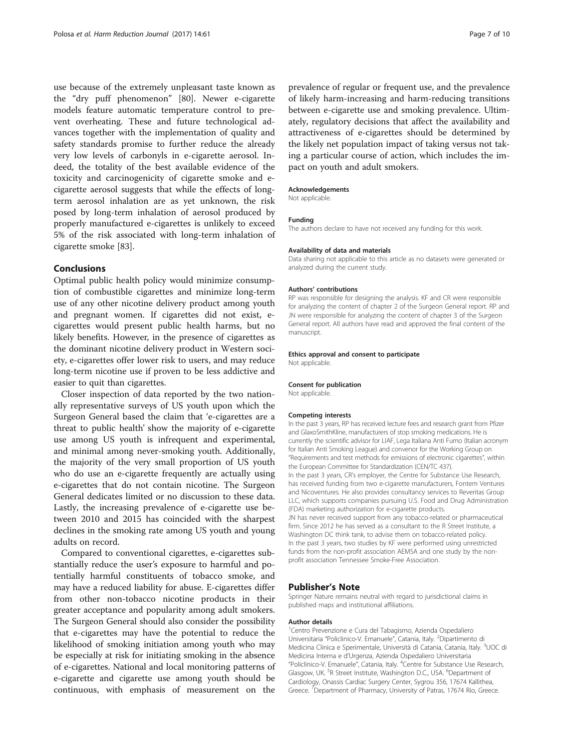use because of the extremely unpleasant taste known as the "dry puff phenomenon" [[80](#page-9-0)]. Newer e-cigarette models feature automatic temperature control to prevent overheating. These and future technological advances together with the implementation of quality and safety standards promise to further reduce the already very low levels of carbonyls in e-cigarette aerosol. Indeed, the totality of the best available evidence of the toxicity and carcinogenicity of cigarette smoke and ecigarette aerosol suggests that while the effects of longterm aerosol inhalation are as yet unknown, the risk posed by long-term inhalation of aerosol produced by properly manufactured e-cigarettes is unlikely to exceed 5% of the risk associated with long-term inhalation of cigarette smoke [[83\]](#page-9-0).

# Conclusions

Optimal public health policy would minimize consumption of combustible cigarettes and minimize long-term use of any other nicotine delivery product among youth and pregnant women. If cigarettes did not exist, ecigarettes would present public health harms, but no likely benefits. However, in the presence of cigarettes as the dominant nicotine delivery product in Western society, e-cigarettes offer lower risk to users, and may reduce long-term nicotine use if proven to be less addictive and easier to quit than cigarettes.

Closer inspection of data reported by the two nationally representative surveys of US youth upon which the Surgeon General based the claim that 'e-cigarettes are a threat to public health' show the majority of e-cigarette use among US youth is infrequent and experimental, and minimal among never-smoking youth. Additionally, the majority of the very small proportion of US youth who do use an e-cigarette frequently are actually using e-cigarettes that do not contain nicotine. The Surgeon General dedicates limited or no discussion to these data. Lastly, the increasing prevalence of e-cigarette use between 2010 and 2015 has coincided with the sharpest declines in the smoking rate among US youth and young adults on record.

Compared to conventional cigarettes, e-cigarettes substantially reduce the user's exposure to harmful and potentially harmful constituents of tobacco smoke, and may have a reduced liability for abuse. E-cigarettes differ from other non-tobacco nicotine products in their greater acceptance and popularity among adult smokers. The Surgeon General should also consider the possibility that e-cigarettes may have the potential to reduce the likelihood of smoking initiation among youth who may be especially at risk for initiating smoking in the absence of e-cigarettes. National and local monitoring patterns of e-cigarette and cigarette use among youth should be continuous, with emphasis of measurement on the

prevalence of regular or frequent use, and the prevalence of likely harm-increasing and harm-reducing transitions between e-cigarette use and smoking prevalence. Ultimately, regulatory decisions that affect the availability and attractiveness of e-cigarettes should be determined by the likely net population impact of taking versus not taking a particular course of action, which includes the impact on youth and adult smokers.

#### Acknowledgements

Not applicable.

#### Funding

The authors declare to have not received any funding for this work.

#### Availability of data and materials

Data sharing not applicable to this article as no datasets were generated or analyzed during the current study.

#### Authors' contributions

RP was responsible for designing the analysis. KF and CR were responsible for analyzing the content of chapter 2 of the Surgeon General report. RP and JN were responsible for analyzing the content of chapter 3 of the Surgeon General report. All authors have read and approved the final content of the manuscript.

#### Ethics approval and consent to participate

Not applicable.

#### Consent for publication

Not applicable.

#### Competing interests

In the past 3 years, RP has received lecture fees and research grant from Pfizer and GlaxoSmithKline, manufacturers of stop smoking medications. He is currently the scientific advisor for LIAF, Lega Italiana Anti Fumo (Italian acronym for Italian Anti Smoking League) and convenor for the Working Group on "Requirements and test methods for emissions of electronic cigarettes", within the European Committee for Standardization (CEN/TC 437). In the past 3 years, CR's employer, the Centre for Substance Use Research, has received funding from two e-cigarette manufacturers, Fontem Ventures and Nicoventures. He also provides consultancy services to Reveritas Group LLC, which supports companies pursuing U.S. Food and Drug Administration (FDA) marketing authorization for e-cigarette products. JN has never received support from any tobacco-related or pharmaceutical firm. Since 2012 he has served as a consultant to the R Street Institute, a Washington DC think tank, to advise them on tobacco-related policy. In the past 3 years, two studies by KF were performed using unrestricted

funds from the non-profit association AEMSA and one study by the nonprofit association Tennessee Smoke-Free Association.

# Publisher's Note

Springer Nature remains neutral with regard to jurisdictional claims in published maps and institutional affiliations.

#### Author details

<sup>1</sup> Centro Prevenzione e Cura del Tabagismo, Azienda Ospedaliero Universitaria "Policlinico-V. Emanuele", Catania, Italy. <sup>2</sup>Dipartimento di Medicina Clinica e Sperimentale, Università di Catania, Catania, Italy. <sup>3</sup>UOC di Medicina Interna e d'Urgenza, Azienda Ospedaliero Universitaria "Policlinico-V. Emanuele", Catania, Italy. <sup>4</sup> Centre for Substance Use Research, Glasgow, UK.<sup>5</sup>R Street Institute, Washington D.C., USA. <sup>6</sup>Department of Cardiology, Onassis Cardiac Surgery Center, Sygrou 356, 17674 Kallithea, Greece. <sup>7</sup>Department of Pharmacy, University of Patras, 17674 Rio, Greece.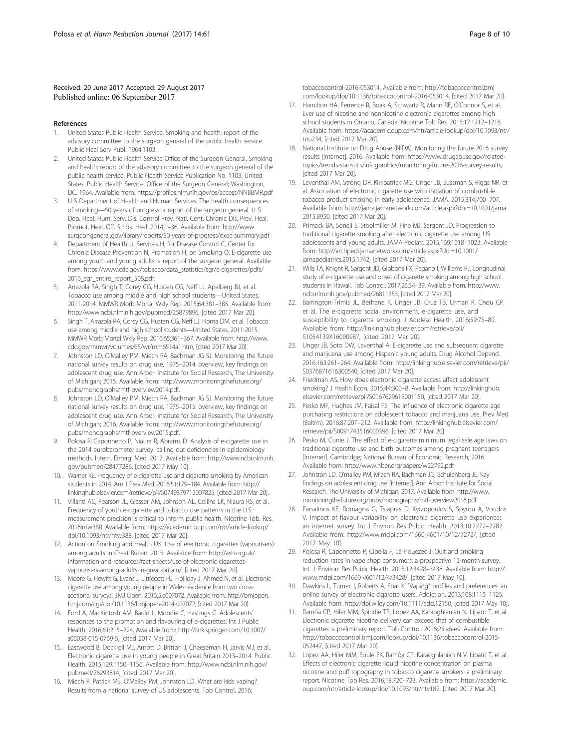## <span id="page-7-0"></span>Received: 20 June 2017 Accepted: 29 August 2017 Published online: 06 September 2017

#### References

- 1. United States Public Health Service. Smoking and health: report of the advisory committee to the surgeon general of the public health service. Public Heal Serv Publ. 1964;1103.
- 2. United States Public Health Service Office of the Surgeon General. Smoking and health: report of the advisory committee to the surgeon general of the public health service. Public Health Service Publication No. 1103. United States. Public Health Service. Office of the Surgeon General; Washington, DC. 1964. Available from:<https://profiles.nlm.nih.gov/ps/access/NNBBMR.pdf>
- 3. U S Department of Health and Human Services. The health consequences of smoking—50 years of progress: a report of the surgeon general. U S Dep. Heal. Hum. Serv. Dis. Control Prev. Natl. Cent. Chronic Dis. Prev. Heal. Promot. Heal. Off. Smok. Heal. 2014;1–36. Available from: [http://www.](http://www.surgeongeneral.gov/library/reports/50-years-of-progress/exec-summary.pdf) [surgeongeneral.gov/library/reports/50-years-of-progress/exec-summary.pdf](http://www.surgeongeneral.gov/library/reports/50-years-of-progress/exec-summary.pdf)
- 4. Department of Health U, Services H, for Disease Control C, Center for Chronic Disease Prevention N, Promotion H, on Smoking O. E-cigarette use among youth and young adults: a report of the surgeon general. Available from: [https://www.cdc.gov/tobacco/data\\_statistics/sgr/e-cigarettes/pdfs/](https://www.cdc.gov/tobacco/data_statistics/sgr/e-cigarettes/pdfs/2016_sgr_entire_report_508.pdf) [2016\\_sgr\\_entire\\_report\\_508.pdf.](https://www.cdc.gov/tobacco/data_statistics/sgr/e-cigarettes/pdfs/2016_sgr_entire_report_508.pdf)
- Arrazola RA, Singh T, Corey CG, Husten CG, Neff LJ, Apelberg BJ, et al. Tobacco use among middle and high school students—United States, 2011-2014. MMWR Morb Mortal Wkly Rep. 2015;64:381–385. Available from: [http://www.ncbi.nlm.nih.gov/pubmed/25879896,](http://www.ncbi.nlm.nih.gov/pubmed/25879896) [cited 2017 Mar 20].
- 6. Singh T, Arrazola RA, Corey CG, Husten CG, Neff LJ, Homa DM, et al. Tobacco use among middle and high school students—United States, 2011-2015. MMWR Morb Mortal Wkly Rep. 2016;65:361–367. Available from: [http://www.](http://www.cdc.gov/mmwr/volumes/65/wr/mm6514a1.htm) [cdc.gov/mmwr/volumes/65/wr/mm6514a1.htm](http://www.cdc.gov/mmwr/volumes/65/wr/mm6514a1.htm), [cited 2017 Mar 20].
- 7. Johnston LD, O'Malley PM, Miech RA, Bachman JG SJ. Monitoring the future national survey results on drug use, 1975–2014: overview, key findings on adolescent drug use. Ann Arbor: Institute for Social Research, The University of Michigan; 2015. Available from: [http://www.monitoringthefuture.org/](http://www.monitoringthefuture.org/pubs/monographs/mtf-overview2014.pdf) [pubs/monographs/mtf-overview2014.pdf.](http://www.monitoringthefuture.org/pubs/monographs/mtf-overview2014.pdf)
- Johnston LD, O'Malley PM, Miech RA, Bachman JG SJ. Monitoring the future national survey results on drug use, 1975–2015: overview, key findings on adolescent drug use. Ann Arbor: Institute for Social Research, The University of Michigan; 2016. Available from: [http://www.monitoringthefuture.org/](http://www.monitoringthefuture.org/pubs/monographs/mtf-overview2015.pdf) [pubs/monographs/mtf-overview2015.pdf.](http://www.monitoringthefuture.org/pubs/monographs/mtf-overview2015.pdf)
- 9. Polosa R, Caponnetto P, Niaura R, Abrams D. Analysis of e-cigarette use in the 2014 eurobarometer survey: calling out deficiencies in epidemiology methods. Intern. Emerg. Med. 2017. Available from: [http://www.ncbi.nlm.nih.](http://www.ncbi.nlm.nih.gov/pubmed/28477286) [gov/pubmed/28477286](http://www.ncbi.nlm.nih.gov/pubmed/28477286), [cited 2017 May 10].
- 10. Warner KE. Frequency of e-cigarette use and cigarette smoking by American students in 2014. Am J Prev Med. 2016;51:179–184. Available from: [http://](http://linkinghub.elsevier.com/retrieve/pii/S0749379715007825) [linkinghub.elsevier.com/retrieve/pii/S0749379715007825](http://linkinghub.elsevier.com/retrieve/pii/S0749379715007825), [cited 2017 Mar 20].
- 11. Villanti AC, Pearson JL, Glasser AM, Johnson AL, Collins LK, Niaura RS, et al. Frequency of youth e-cigarette and tobacco use patterns in the U.S.: measurement precision is critical to inform public health. Nicotine Tob. Res. 2016;ntw388. Available from: [https://academic.oup.com/ntr/article-lookup/](https://academic.oup.com/ntr/article-lookup/doi/10.1093/ntr/ntw388) [doi/10.1093/ntr/ntw388](https://academic.oup.com/ntr/article-lookup/doi/10.1093/ntr/ntw388), [cited 2017 Mar 20].
- 12. Action on Smoking and Health UK. Use of electronic cigarettes (vapourisers) among adults in Great Britain. 2015. Available from: [http://ash.org.uk/](http://ash.org.uk/information-and-resources/fact-sheets/use-of-electronic-cigarettes-vapourisers-among-adults-in-great-britain/) [information-and-resources/fact-sheets/use-of-electronic-cigarettes](http://ash.org.uk/information-and-resources/fact-sheets/use-of-electronic-cigarettes-vapourisers-among-adults-in-great-britain/)[vapourisers-among-adults-in-great-britain/,](http://ash.org.uk/information-and-resources/fact-sheets/use-of-electronic-cigarettes-vapourisers-among-adults-in-great-britain/) [cited 2017 Mar 20].
- 13. Moore G, Hewitt G, Evans J, Littlecott HJ, Holliday J, Ahmed N, et al. Electroniccigarette use among young people in Wales: evidence from two crosssectional surveys. BMJ Open. 2015;5:e007072. Available from: [http://bmjopen.](http://bmjopen.bmj.com/cgi/doi/10.1136/bmjopen-2014-007072) [bmj.com/cgi/doi/10.1136/bmjopen-2014-007072](http://bmjopen.bmj.com/cgi/doi/10.1136/bmjopen-2014-007072), [cited 2017 Mar 20].
- 14. Ford A, MacKintosh AM, Bauld L, Moodie C, Hastings G. Adolescents' responses to the promotion and flavouring of e-cigarettes. Int J Public Health. 2016;61:215–224. Available from: [http://link.springer.com/10.1007/](http://link.springer.com/10.1007/s00038-015-0769-5) [s00038-015-0769-5,](http://link.springer.com/10.1007/s00038-015-0769-5) [cited 2017 Mar 20].
- 15. Eastwood B, Dockrell MJ, Arnott D, Britton J, Cheeseman H, Jarvis MJ, et al. Electronic cigarette use in young people in Great Britain 2013–2014. Public Health. 2015;129:1150–1156. Available from: [http://www.ncbi.nlm.nih.gov/](http://www.ncbi.nlm.nih.gov/pubmed/26293814) [pubmed/26293814,](http://www.ncbi.nlm.nih.gov/pubmed/26293814) [cited 2017 Mar 20].
- 16. Miech R, Patrick ME, O'Malley PM, Johnston LD. What are kids vaping? Results from a national survey of US adolescents. Tob Control. 2016;

tobaccocontrol-2016-053014. Available from: [http://tobaccocontrol.bmj.](http://tobaccocontrol.bmj.com/lookup/doi/10.1136/tobaccocontrol-2016-053014) [com/lookup/doi/10.1136/tobaccocontrol-2016-053014,](http://tobaccocontrol.bmj.com/lookup/doi/10.1136/tobaccocontrol-2016-053014) [cited 2017 Mar 20].

- 17. Hamilton HA, Ferrence R, Boak A, Schwartz R, Mann RE, O'Connor S, et al. Ever use of nicotine and nonnicotine electronic cigarettes among high school students in Ontario, Canada. Nicotine Tob Res. 2015;17:1212–1218. Available from: [https://academic.oup.com/ntr/article-lookup/doi/10.1093/ntr/](https://academic.oup.com/ntr/article-lookup/doi/10.1093/ntr/ntu234) [ntu234,](https://academic.oup.com/ntr/article-lookup/doi/10.1093/ntr/ntu234) [cited 2017 Mar 20].
- 18. National Institute on Drug Abuse (NIDA). Monitoring the future 2016 survey results [Internet]. 2016. Available from: [https://www.drugabuse.gov/related](https://www.drugabuse.gov/related-topics/trends-statistics/infographics/monitoring-future-2016-survey-results)[topics/trends-statistics/infographics/monitoring-future-2016-survey-results](https://www.drugabuse.gov/related-topics/trends-statistics/infographics/monitoring-future-2016-survey-results), [cited 2017 Mar 20].
- 19. Leventhal AM, Strong DR, Kirkpatrick MG, Unger JB, Sussman S, Riggs NR, et al. Association of electronic cigarette use with initiation of combustible tobacco product smoking in early adolescence. JAMA. 2015;314:700–707. Available from: [http://jama.jamanetwork.com/article.aspx?doi=10.1001/jama.](http://jama.jamanetwork.com/article.aspx?doi=10.1001/jama.2015.8950) [2015.8950](http://jama.jamanetwork.com/article.aspx?doi=10.1001/jama.2015.8950), [cited 2017 Mar 20].
- 20. Primack BA, Soneji S, Stoolmiller M, Fine MJ, Sargent JD. Progression to traditional cigarette smoking after electronic cigarette use among US adolescents and young adults. JAMA Pediatr. 2015;169:1018–1023. Available from: [http://archpedi.jamanetwork.com/article.aspx?doi=10.1001/](http://archpedi.jamanetwork.com/article.aspx?doi=10.1001/jamapediatrics.2015.1742) [jamapediatrics.2015.1742](http://archpedi.jamanetwork.com/article.aspx?doi=10.1001/jamapediatrics.2015.1742), [cited 2017 Mar 20].
- 21. Wills TA, Knight R, Sargent JD, Gibbons FX, Pagano I, Williams RJ. Longitudinal study of e-cigarette use and onset of cigarette smoking among high school students in Hawaii. Tob Control. 2017;26:34–39. Available from: [http://www.](http://www.ncbi.nlm.nih.gov/pubmed/26811353) [ncbi.nlm.nih.gov/pubmed/26811353](http://www.ncbi.nlm.nih.gov/pubmed/26811353), [cited 2017 Mar 20].
- 22. Barrington-Trimis JL, Berhane K, Unger JB, Cruz TB, Urman R, Chou CP, et al. The e-cigarette social environment, e-cigarette use, and susceptibility to cigarette smoking. J Adolesc Health. 2016;59:75–80. Available from: [http://linkinghub.elsevier.com/retrieve/pii/](http://linkinghub.elsevier.com/retrieve/pii/S1054139X16000987) [S1054139X16000987,](http://linkinghub.elsevier.com/retrieve/pii/S1054139X16000987) [cited 2017 Mar 20].
- 23. Unger JB, Soto DW, Leventhal A. E-cigarette use and subsequent cigarette and marijuana use among Hispanic young adults. Drug Alcohol Depend. 2016;163:261–264. Available from: [http://linkinghub.elsevier.com/retrieve/pii/](http://linkinghub.elsevier.com/retrieve/pii/S0376871616300540) [S0376871616300540,](http://linkinghub.elsevier.com/retrieve/pii/S0376871616300540) [cited 2017 Mar 20].
- 24. Friedman AS. How does electronic cigarette access affect adolescent smoking? J Health Econ. 2015;44:300–8. Available from: [http://linkinghub.](http://linkinghub.elsevier.com/retrieve/pii/S0167629615001150) [elsevier.com/retrieve/pii/S0167629615001150,](http://linkinghub.elsevier.com/retrieve/pii/S0167629615001150) [cited 2017 Mar 20].
- 25. Pesko MF, Hughes JM, Faisal FS. The influence of electronic cigarette age purchasing restrictions on adolescent tobacco and marijuana use. Prev Med (Baltim). 2016;87:207–212. Available from: [http://linkinghub.elsevier.com/](http://linkinghub.elsevier.com/retrieve/pii/S0091743516000396) [retrieve/pii/S0091743516000396,](http://linkinghub.elsevier.com/retrieve/pii/S0091743516000396) [cited 2017 Mar 20].
- 26. Pesko M, Currie J. The effect of e-cigarette minimum legal sale age laws on traditional cigarette use and birth outcomes among pregnant teenagers [Internet]. Cambridge; National Bureau of Economic Research; 2016. Available from:<http://www.nber.org/papers/w22792.pdf>
- 27. Johnston LD, O'malley PM, Miech RA, Bachman JG, Schulenberg JE. Key findings on adolescent drug use [Internet]. Ann Arbor: Institute for Social Research, The University of Michigan; 2017. Available from: [http://www.](http://www.monitoringthefuture.org/pubs/monographs/mtf-overview2016.pdf) [monitoringthefuture.org/pubs/monographs/mtf-overview2016.pdf](http://www.monitoringthefuture.org/pubs/monographs/mtf-overview2016.pdf).
- 28. Farsalinos KE, Romagna G, Tsiapras D, Kyrzopoulos S, Spyrou A, Voudris V. Impact of flavour variability on electronic cigarette use experience: an internet survey. Int J Environ Res Public Health. 2013;10:7272–7282. Available from: [http://www.mdpi.com/1660-4601/10/12/7272/,](http://www.mdpi.com/1660-4601/10/12/7272/) [cited 2017 May 10].
- 29. Polosa R, Caponnetto P, Cibella F, Le-Houezec J. Quit and smoking reduction rates in vape shop consumers: a prospective 12-month survey. Int. J. Environ. Res Public Health. 2015;12:3428–3438. Available from: [http://](http://www.mdpi.com/1660-4601/12/4/3428/) [www.mdpi.com/1660-4601/12/4/3428/,](http://www.mdpi.com/1660-4601/12/4/3428/) [cited 2017 May 10].
- 30. Dawkins L, Turner J, Roberts A, Soar K. "Vaping" profiles and preferences: an online survey of electronic cigarette users. Addiction. 2013;108:1115–1125. Available from: [http://doi.wiley.com/10.1111/add.12150,](http://doi.wiley.com/10.1111/add.12150) [cited 2017 May 10].
- 31. Ramôa CP, Hiler MM, Spindle TR, Lopez AA, Karaoghlanian N, Lipato T, et al. Electronic cigarette nicotine delivery can exceed that of combustible cigarettes: a preliminary report. Tob Control. 2016;25:e6-e9. Available from: [http://tobaccocontrol.bmj.com/lookup/doi/10.1136/tobaccocontrol-2015-](http://tobaccocontrol.bmj.com/lookup/doi/10.1136/tobaccocontrol-2015-052447) [052447](http://tobaccocontrol.bmj.com/lookup/doi/10.1136/tobaccocontrol-2015-052447), [cited 2017 Mar 20].
- 32. Lopez AA, Hiler MM, Soule EK, Ramôa CP, Karaoghlanian N V, Lipato T, et al. Effects of electronic cigarette liquid nicotine concentration on plasma nicotine and puff topography in tobacco cigarette smokers: a preliminary report. Nicotine Tob Res. 2016;18:720–723. Available from: [https://academic.](https://academic.oup.com/ntr/article-lookup/doi/10.1093/ntr/ntv182) [oup.com/ntr/article-lookup/doi/10.1093/ntr/ntv182](https://academic.oup.com/ntr/article-lookup/doi/10.1093/ntr/ntv182), [cited 2017 Mar 20].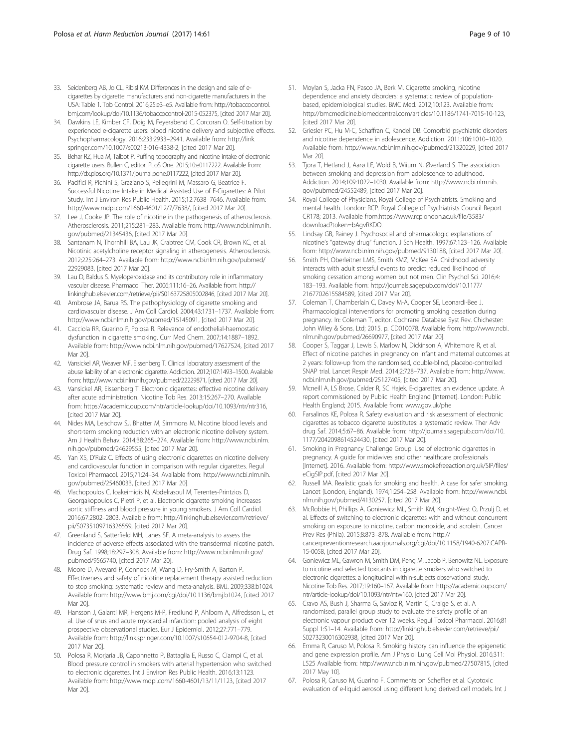- <span id="page-8-0"></span>33. Seidenberg AB, Jo CL, Ribisl KM. Differences in the design and sale of ecigarettes by cigarette manufacturers and non-cigarette manufacturers in the USA: Table 1. Tob Control. 2016;25:e3–e5. Available from: [http://tobaccocontrol.](http://tobaccocontrol.bmj.com/lookup/doi/10.1136/tobaccocontrol-2015-052375) [bmj.com/lookup/doi/10.1136/tobaccocontrol-2015-052375,](http://tobaccocontrol.bmj.com/lookup/doi/10.1136/tobaccocontrol-2015-052375) [cited 2017 Mar 20].
- 34. Dawkins LE, Kimber CF, Doig M, Feyerabend C, Corcoran O. Self-titration by experienced e-cigarette users: blood nicotine delivery and subjective effects. Psychopharmacology. 2016;233:2933–2941. Available from: [http://link.](http://link.springer.com/10.1007/s00213-016-4338-2) [springer.com/10.1007/s00213-016-4338-2](http://link.springer.com/10.1007/s00213-016-4338-2), [cited 2017 Mar 20].
- 35. Behar RZ, Hua M, Talbot P. Puffing topography and nicotine intake of electronic cigarette users. Bullen C, editor. PLoS One. 2015;10:e0117222. Available from: [http://dx.plos.org/10.1371/journal.pone.0117222,](http://dx.plos.org/10.1371/journal.pone.0117222) [cited 2017 Mar 20].
- 36. Pacifici R, Pichini S, Graziano S, Pellegrini M, Massaro G, Beatrice F. Successful Nicotine Intake in Medical Assisted Use of E-Cigarettes: A Pilot Study. Int J Environ Res Public Health. 2015;12:7638–7646. Available from: [http://www.mdpi.com/1660-4601/12/7/7638/,](http://www.mdpi.com/1660-4601/12/7/7638/) [cited 2017 Mar 20].
- 37. Lee J, Cooke JP. The role of nicotine in the pathogenesis of atherosclerosis. Atherosclerosis. 2011;215:281–283. Available from: [http://www.ncbi.nlm.nih.](http://www.ncbi.nlm.nih.gov/pubmed/21345436) [gov/pubmed/21345436](http://www.ncbi.nlm.nih.gov/pubmed/21345436), [cited 2017 Mar 20].
- 38. Santanam N, Thornhill BA, Lau JK, Crabtree CM, Cook CR, Brown KC, et al. Nicotinic acetylcholine receptor signaling in atherogenesis. Atherosclerosis. 2012;225:264–273. Available from: [http://www.ncbi.nlm.nih.gov/pubmed/](http://www.ncbi.nlm.nih.gov/pubmed/22929083) [22929083](http://www.ncbi.nlm.nih.gov/pubmed/22929083), [cited 2017 Mar 20].
- 39. Lau D, Baldus S. Myeloperoxidase and its contributory role in inflammatory vascular disease. Pharmacol Ther. 2006;111:16–26. Available from: [http://](http://linkinghub.elsevier.com/retrieve/pii/S0163725805002846) [linkinghub.elsevier.com/retrieve/pii/S0163725805002846](http://linkinghub.elsevier.com/retrieve/pii/S0163725805002846), [cited 2017 Mar 20].
- 40. Ambrose JA, Barua RS. The pathophysiology of cigarette smoking and cardiovascular disease. J Am Coll Cardiol. 2004;43:1731–1737. Available from: [http://www.ncbi.nlm.nih.gov/pubmed/15145091,](http://www.ncbi.nlm.nih.gov/pubmed/15145091) [cited 2017 Mar 20].
- 41. Cacciola RR, Guarino F, Polosa R. Relevance of endothelial-haemostatic dysfunction in cigarette smoking. Curr Med Chem. 2007;14:1887–1892. Available from:<http://www.ncbi.nlm.nih.gov/pubmed/17627524>, [cited 2017 Mar 20].
- 42. Vansickel AR, Weaver MF, Eissenberg T. Clinical laboratory assessment of the abuse liability of an electronic cigarette. Addiction. 2012;107:1493–1500. Available from:<http://www.ncbi.nlm.nih.gov/pubmed/22229871>, [cited 2017 Mar 20].
- 43. Vansickel AR, Eissenberg T. Electronic cigarettes: effective nicotine delivery after acute administration. Nicotine Tob Res. 2013;15:267–270. Available from: [https://academic.oup.com/ntr/article-lookup/doi/10.1093/ntr/ntr316,](https://academic.oup.com/ntr/article-lookup/doi/10.1093/ntr/ntr316) [cited 2017 Mar 20].
- 44. Nides MA, Leischow SJ, Bhatter M, Simmons M. Nicotine blood levels and short-term smoking reduction with an electronic nicotine delivery system. Am J Health Behav. 2014;38:265–274. Available from: [http://www.ncbi.nlm.](http://www.ncbi.nlm.nih.gov/pubmed/24629555) [nih.gov/pubmed/24629555](http://www.ncbi.nlm.nih.gov/pubmed/24629555), [cited 2017 Mar 20].
- 45. Yan XS, D'Ruiz C. Effects of using electronic cigarettes on nicotine delivery and cardiovascular function in comparison with regular cigarettes. Regul Toxicol Pharmacol. 2015;71:24–34. Available from: [http://www.ncbi.nlm.nih.](http://www.ncbi.nlm.nih.gov/pubmed/25460033) [gov/pubmed/25460033](http://www.ncbi.nlm.nih.gov/pubmed/25460033), [cited 2017 Mar 20].
- 46. Vlachopoulos C, Ioakeimidis N, Abdelrasoul M, Terentes-Printzios D, Georgakopoulos C, Pietri P, et al. Electronic cigarette smoking increases aortic stiffness and blood pressure in young smokers. J Am Coll Cardiol. 2016;67:2802–2803. Available from: [http://linkinghub.elsevier.com/retrieve/](http://linkinghub.elsevier.com/retrieve/pii/S0735109716326559) [pii/S0735109716326559,](http://linkinghub.elsevier.com/retrieve/pii/S0735109716326559) [cited 2017 Mar 20].
- 47. Greenland S, Satterfield MH, Lanes SF. A meta-analysis to assess the incidence of adverse effects associated with the transdermal nicotine patch. Drug Saf. 1998;18:297–308. Available from: [http://www.ncbi.nlm.nih.gov/](http://www.ncbi.nlm.nih.gov/pubmed/9565740) [pubmed/9565740,](http://www.ncbi.nlm.nih.gov/pubmed/9565740) [cited 2017 Mar 20].
- 48. Moore D, Aveyard P, Connock M, Wang D, Fry-Smith A, Barton P. Effectiveness and safety of nicotine replacement therapy assisted reduction to stop smoking: systematic review and meta-analysis. BMJ. 2009;338:b1024. Available from: [http://www.bmj.com/cgi/doi/10.1136/bmj.b1024,](http://www.bmj.com/cgi/doi/10.1136/bmj.b1024) [cited 2017 Mar 20].
- 49. Hansson J, Galanti MR, Hergens M-P, Fredlund P, Ahlbom A, Alfredsson L, et al. Use of snus and acute myocardial infarction: pooled analysis of eight prospective observational studies. Eur J Epidemiol. 2012;27:771–779. Available from: [http://link.springer.com/10.1007/s10654-012-9704-8,](http://link.springer.com/10.1007/s10654-012-9704-8) [cited 2017 Mar 20].
- 50. Polosa R, Morjaria JB, Caponnetto P, Battaglia E, Russo C, Ciampi C, et al. Blood pressure control in smokers with arterial hypertension who switched to electronic cigarettes. Int J Environ Res Public Health. 2016;13:1123. Available from: [http://www.mdpi.com/1660-4601/13/11/1123,](http://www.mdpi.com/1660-4601/13/11/1123) [cited 2017 Mar 20].
- 51. Moylan S, Jacka FN, Pasco JA, Berk M. Cigarette smoking, nicotine dependence and anxiety disorders: a systematic review of populationbased, epidemiological studies. BMC Med. 2012;10:123. Available from: <http://bmcmedicine.biomedcentral.com/articles/10.1186/1741-7015-10-123>, [cited 2017 Mar 20].
- 52. Griesler PC, Hu M-C, Schaffran C, Kandel DB. Comorbid psychiatric disorders and nicotine dependence in adolescence. Addiction. 2011;106:1010–1020. Available from:<http://www.ncbi.nlm.nih.gov/pubmed/21320229>, [cited 2017 Mar 20].
- 53. Tjora T, Hetland J, Aarø LE, Wold B, Wiium N, Øverland S. The association between smoking and depression from adolescence to adulthood. Addiction. 2014;109:1022–1030. Available from: [http://www.ncbi.nlm.nih.](http://www.ncbi.nlm.nih.gov/pubmed/24552489) [gov/pubmed/24552489](http://www.ncbi.nlm.nih.gov/pubmed/24552489), [cited 2017 Mar 20].
- 54. Royal College of Physicians, Royal College of Psychiatrists. Smoking and mental health. London: RCP. Royal College of Psychiatrists Council Report CR178; 2013. Available from[:https://www.rcplondon.ac.uk/file/3583/](https://www.rcplondon.ac.uk/file/3583/download?token=bAgvRKDO) [download?token=bAgvRKDO](https://www.rcplondon.ac.uk/file/3583/download?token=bAgvRKDO).
- 55. Lindsay GB, Rainey J. Psychosocial and pharmacologic explanations of nicotine's "gateway drug" function. J Sch Health. 1997;67:123–126. Available from:<http://www.ncbi.nlm.nih.gov/pubmed/9130188>, [cited 2017 Mar 20].
- 56. Smith PH, Oberleitner LMS, Smith KMZ, McKee SA. Childhood adversity interacts with adult stressful events to predict reduced likelihood of smoking cessation among women but not men. Clin Psychol Sci. 2016;4: 183–193. Available from: [http://journals.sagepub.com/doi/10.1177/](http://journals.sagepub.com/doi/10.1177/2167702615584589) [2167702615584589](http://journals.sagepub.com/doi/10.1177/2167702615584589), [cited 2017 Mar 20].
- 57. Coleman T, Chamberlain C, Davey M-A, Cooper SE, Leonardi-Bee J. Pharmacological interventions for promoting smoking cessation during pregnancy. In: Coleman T, editor. Cochrane Database Syst Rev. Chichester: John Wiley & Sons, Ltd; 2015. p. CD010078. Available from: [http://www.ncbi.](http://www.ncbi.nlm.nih.gov/pubmed/26690977) [nlm.nih.gov/pubmed/26690977,](http://www.ncbi.nlm.nih.gov/pubmed/26690977) [cited 2017 Mar 20].
- 58. Cooper S, Taggar J, Lewis S, Marlow N, Dickinson A, Whitemore R, et al. Effect of nicotine patches in pregnancy on infant and maternal outcomes at 2 years: follow-up from the randomised, double-blind, placebo-controlled SNAP trial. Lancet Respir Med. 2014;2:728–737. Available from: [http://www.](http://www.ncbi.nlm.nih.gov/pubmed/25127405) [ncbi.nlm.nih.gov/pubmed/25127405](http://www.ncbi.nlm.nih.gov/pubmed/25127405), [cited 2017 Mar 20].
- 59. Mcneill A, LS Brose, Calder R, SC Hajek. E-cigarettes: an evidence update. A report commissioned by Public Health England [Internet]. London: Public Health England; 2015. Available from: [www.gov.uk/phe](http://www.gov.uk/phe)
- 60. Farsalinos KE, Polosa R. Safety evaluation and risk assessment of electronic cigarettes as tobacco cigarette substitutes: a systematic review. Ther Adv drug Saf. 2014;5:67–86. Available from: [http://journals.sagepub.com/doi/10.](http://journals.sagepub.com/doi/10.1177/2042098614524430) [1177/2042098614524430](http://journals.sagepub.com/doi/10.1177/2042098614524430), [cited 2017 Mar 20].
- 61. Smoking in Pregnancy Challenge Group. Use of electronic cigarettes in pregnancy. A guide for midwives and other healthcare professionals [Internet]. 2016. Available from: [http://www.smokefreeaction.org.uk/SIP/files/](http://www.smokefreeaction.org.uk/SIP/files/eCigSIP.pdf) [eCigSIP.pdf,](http://www.smokefreeaction.org.uk/SIP/files/eCigSIP.pdf) [cited 2017 Mar 20].
- 62. Russell MA. Realistic goals for smoking and health. A case for safer smoking. Lancet (London, England). 1974;1:254–258. Available from: [http://www.ncbi.](http://www.ncbi.nlm.nih.gov/pubmed/4130257) [nlm.nih.gov/pubmed/4130257](http://www.ncbi.nlm.nih.gov/pubmed/4130257), [cited 2017 Mar 20].
- 63. McRobbie H, Phillips A, Goniewicz ML, Smith KM, Knight-West O, Przulj D, et al. Effects of switching to electronic cigarettes with and without concurrent smoking on exposure to nicotine, carbon monoxide, and acrolein. Cancer Prev Res (Phila). 2015;8:873–878. Available from: [http://](http://cancerpreventionresearch.aacrjournals.org/cgi/doi/10.1158/1940-6207.CAPR-15-0058) [cancerpreventionresearch.aacrjournals.org/cgi/doi/10.1158/1940-6207.CAPR-](http://cancerpreventionresearch.aacrjournals.org/cgi/doi/10.1158/1940-6207.CAPR-15-0058)[15-0058](http://cancerpreventionresearch.aacrjournals.org/cgi/doi/10.1158/1940-6207.CAPR-15-0058), [cited 2017 Mar 20].
- 64. Goniewicz ML, Gawron M, Smith DM, Peng M, Jacob P, Benowitz NL. Exposure to nicotine and selected toxicants in cigarette smokers who switched to electronic cigarettes: a longitudinal within-subjects observational study. Nicotine Tob Res. 2017;19:160–167. Available from: [https://academic.oup.com/](https://academic.oup.com/ntr/article-lookup/doi/10.1093/ntr/ntw160) [ntr/article-lookup/doi/10.1093/ntr/ntw160](https://academic.oup.com/ntr/article-lookup/doi/10.1093/ntr/ntw160), [cited 2017 Mar 20].
- 65. Cravo AS, Bush J, Sharma G, Savioz R, Martin C, Craige S, et al. A randomised, parallel group study to evaluate the safety profile of an electronic vapour product over 12 weeks. Regul Toxicol Pharmacol. 2016;81 Suppl 1:S1–14. Available from: [http://linkinghub.elsevier.com/retrieve/pii/](http://linkinghub.elsevier.com/retrieve/pii/S0273230016302938) [S0273230016302938,](http://linkinghub.elsevier.com/retrieve/pii/S0273230016302938) [cited 2017 Mar 20].
- 66. Emma R, Caruso M, Polosa R. Smoking history can influence the epigenetic and gene expression profile. Am J Physiol Lung Cell Mol Physiol. 2016;311: L525 Available from: [http://www.ncbi.nlm.nih.gov/pubmed/27507815,](http://www.ncbi.nlm.nih.gov/pubmed/27507815) [cited 2017 May 10].
- 67. Polosa R, Caruso M, Guarino F. Comments on Scheffler et al. Cytotoxic evaluation of e-liquid aerosol using different lung derived cell models. Int J